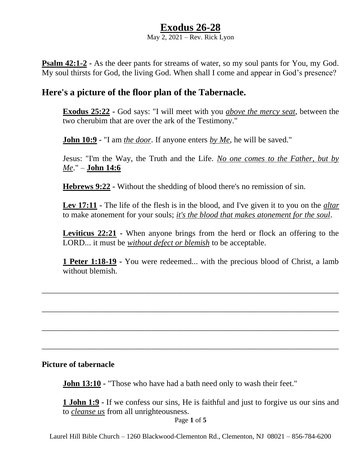## **Exodus 26-28**

May 2, 2021 – Rev. Rick Lyon

**Psalm 42:1-2 -** As the deer pants for streams of water, so my soul pants for You, my God. My soul thirsts for God, the living God. When shall I come and appear in God's presence?

## **Here's a picture of the floor plan of the Tabernacle.**

**Exodus 25:22 -** God says: "I will meet with you *above the mercy seat*, between the two cherubim that are over the ark of the Testimony."

**John 10:9 -** "I am *the door*. If anyone enters *by Me*, he will be saved."

Jesus: "I'm the Way, the Truth and the Life. *No one comes to the Father, but by Me*." – **John 14:6**

**Hebrews 9:22 -** Without the shedding of blood there's no remission of sin.

**Lev 17:11 -** The life of the flesh is in the blood, and I've given it to you on the *altar* to make atonement for your souls; *it's the blood that makes atonement for the soul*.

**Leviticus 22:21 -** When anyone brings from the herd or flock an offering to the LORD... it must be *without defect or blemish* to be acceptable.

**1 Peter 1:18-19 -** You were redeemed... with the precious blood of Christ, a lamb without blemish.

\_\_\_\_\_\_\_\_\_\_\_\_\_\_\_\_\_\_\_\_\_\_\_\_\_\_\_\_\_\_\_\_\_\_\_\_\_\_\_\_\_\_\_\_\_\_\_\_\_\_\_\_\_\_\_\_\_\_\_\_\_\_\_\_\_\_\_\_\_\_\_\_\_

\_\_\_\_\_\_\_\_\_\_\_\_\_\_\_\_\_\_\_\_\_\_\_\_\_\_\_\_\_\_\_\_\_\_\_\_\_\_\_\_\_\_\_\_\_\_\_\_\_\_\_\_\_\_\_\_\_\_\_\_\_\_\_\_\_\_\_\_\_\_\_\_\_

\_\_\_\_\_\_\_\_\_\_\_\_\_\_\_\_\_\_\_\_\_\_\_\_\_\_\_\_\_\_\_\_\_\_\_\_\_\_\_\_\_\_\_\_\_\_\_\_\_\_\_\_\_\_\_\_\_\_\_\_\_\_\_\_\_\_\_\_\_\_\_\_\_

\_\_\_\_\_\_\_\_\_\_\_\_\_\_\_\_\_\_\_\_\_\_\_\_\_\_\_\_\_\_\_\_\_\_\_\_\_\_\_\_\_\_\_\_\_\_\_\_\_\_\_\_\_\_\_\_\_\_\_\_\_\_\_\_\_\_\_\_\_\_\_\_\_

#### **Picture of tabernacle**

**John 13:10 -** "Those who have had a bath need only to wash their feet."

**1 John 1:9 -** If we confess our sins, He is faithful and just to forgive us our sins and to *cleanse us* from all unrighteousness.

Page **1** of **5**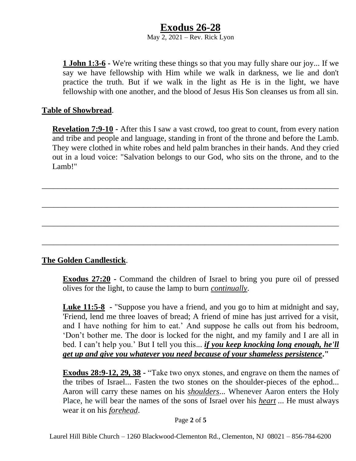# **Exodus 26-28**

May 2, 2021 – Rev. Rick Lyon

**1 John 1:3-6 -** We're writing these things so that you may fully share our joy... If we say we have fellowship with Him while we walk in darkness, we lie and don't practice the truth. But if we walk in the light as He is in the light, we have fellowship with one another, and the blood of Jesus His Son cleanses us from all sin.

#### **Table of Showbread**.

**Revelation 7:9-10 -** After this I saw a vast crowd, too great to count, from every nation and tribe and people and language, standing in front of the throne and before the Lamb. They were clothed in white robes and held palm branches in their hands. And they cried out in a loud voice: "Salvation belongs to our God, who sits on the throne, and to the Lamb!"

\_\_\_\_\_\_\_\_\_\_\_\_\_\_\_\_\_\_\_\_\_\_\_\_\_\_\_\_\_\_\_\_\_\_\_\_\_\_\_\_\_\_\_\_\_\_\_\_\_\_\_\_\_\_\_\_\_\_\_\_\_\_\_\_\_\_\_\_\_\_\_\_\_

\_\_\_\_\_\_\_\_\_\_\_\_\_\_\_\_\_\_\_\_\_\_\_\_\_\_\_\_\_\_\_\_\_\_\_\_\_\_\_\_\_\_\_\_\_\_\_\_\_\_\_\_\_\_\_\_\_\_\_\_\_\_\_\_\_\_\_\_\_\_\_\_\_

\_\_\_\_\_\_\_\_\_\_\_\_\_\_\_\_\_\_\_\_\_\_\_\_\_\_\_\_\_\_\_\_\_\_\_\_\_\_\_\_\_\_\_\_\_\_\_\_\_\_\_\_\_\_\_\_\_\_\_\_\_\_\_\_\_\_\_\_\_\_\_\_\_

\_\_\_\_\_\_\_\_\_\_\_\_\_\_\_\_\_\_\_\_\_\_\_\_\_\_\_\_\_\_\_\_\_\_\_\_\_\_\_\_\_\_\_\_\_\_\_\_\_\_\_\_\_\_\_\_\_\_\_\_\_\_\_\_\_\_\_\_\_\_\_\_\_

### **The Golden Candlestick**.

**Exodus 27:20 -** Command the children of Israel to bring you pure oil of pressed olives for the light, to cause the lamp to burn *continually*.

**Luke 11:5-8 -** "Suppose you have a friend, and you go to him at midnight and say, 'Friend, lend me three loaves of bread; A friend of mine has just arrived for a visit, and I have nothing for him to eat.' And suppose he calls out from his bedroom, 'Don't bother me. The door is locked for the night, and my family and I are all in bed. I can't help you.' But I tell you this... *if you keep knocking long enough, he'll get up and give you whatever you need because of your shameless persistence***."**

**Exodus 28:9-12, 29, 38 -** "Take two onyx stones, and engrave on them the names of the tribes of Israel... Fasten the two stones on the shoulder-pieces of the ephod... Aaron will carry these names on his *shoulders*... Whenever Aaron enters the Holy Place, he will bear the names of the sons of Israel over his *heart* ... He must always wear it on his *forehead*.

Page **2** of **5**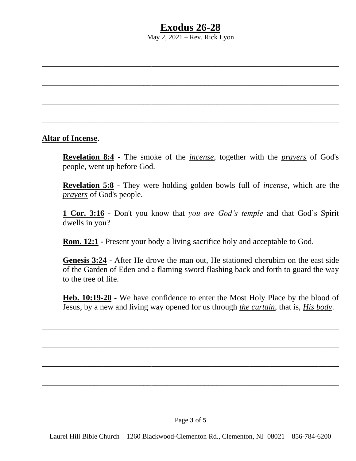# **Exodus 26-28**

May  $2, 2021$  – Rev. Rick Lyon

\_\_\_\_\_\_\_\_\_\_\_\_\_\_\_\_\_\_\_\_\_\_\_\_\_\_\_\_\_\_\_\_\_\_\_\_\_\_\_\_\_\_\_\_\_\_\_\_\_\_\_\_\_\_\_\_\_\_\_\_\_\_\_\_\_\_\_\_\_\_\_\_\_

\_\_\_\_\_\_\_\_\_\_\_\_\_\_\_\_\_\_\_\_\_\_\_\_\_\_\_\_\_\_\_\_\_\_\_\_\_\_\_\_\_\_\_\_\_\_\_\_\_\_\_\_\_\_\_\_\_\_\_\_\_\_\_\_\_\_\_\_\_\_\_\_\_

\_\_\_\_\_\_\_\_\_\_\_\_\_\_\_\_\_\_\_\_\_\_\_\_\_\_\_\_\_\_\_\_\_\_\_\_\_\_\_\_\_\_\_\_\_\_\_\_\_\_\_\_\_\_\_\_\_\_\_\_\_\_\_\_\_\_\_\_\_\_\_\_\_

\_\_\_\_\_\_\_\_\_\_\_\_\_\_\_\_\_\_\_\_\_\_\_\_\_\_\_\_\_\_\_\_\_\_\_\_\_\_\_\_\_\_\_\_\_\_\_\_\_\_\_\_\_\_\_\_\_\_\_\_\_\_\_\_\_\_\_\_\_\_\_\_\_

#### **Altar of Incense**.

**Revelation 8:4 -** The smoke of the *incense*, together with the *prayers* of God's people, went up before God.

**Revelation 5:8 -** They were holding golden bowls full of *incense*, which are the *prayers* of God's people.

**1 Cor. 3:16 -** Don't you know that *you are God's temple* and that God's Spirit dwells in you?

**Rom. 12:1 -** Present your body a living sacrifice holy and acceptable to God.

**Genesis 3:24 -** After He drove the man out, He stationed cherubim on the east side of the Garden of Eden and a flaming sword flashing back and forth to guard the way to the tree of life.

**Heb. 10:19-20 -** We have confidence to enter the Most Holy Place by the blood of Jesus, by a new and living way opened for us through *the curtain*, that is, *His body*.

\_\_\_\_\_\_\_\_\_\_\_\_\_\_\_\_\_\_\_\_\_\_\_\_\_\_\_\_\_\_\_\_\_\_\_\_\_\_\_\_\_\_\_\_\_\_\_\_\_\_\_\_\_\_\_\_\_\_\_\_\_\_\_\_\_\_\_\_\_\_\_\_\_

\_\_\_\_\_\_\_\_\_\_\_\_\_\_\_\_\_\_\_\_\_\_\_\_\_\_\_\_\_\_\_\_\_\_\_\_\_\_\_\_\_\_\_\_\_\_\_\_\_\_\_\_\_\_\_\_\_\_\_\_\_\_\_\_\_\_\_\_\_\_\_\_\_

\_\_\_\_\_\_\_\_\_\_\_\_\_\_\_\_\_\_\_\_\_\_\_\_\_\_\_\_\_\_\_\_\_\_\_\_\_\_\_\_\_\_\_\_\_\_\_\_\_\_\_\_\_\_\_\_\_\_\_\_\_\_\_\_\_\_\_\_\_\_\_\_\_

\_\_\_\_\_\_\_\_\_\_\_\_\_\_\_\_\_\_\_\_\_\_\_\_\_\_\_\_\_\_\_\_\_\_\_\_\_\_\_\_\_\_\_\_\_\_\_\_\_\_\_\_\_\_\_\_\_\_\_\_\_\_\_\_\_\_\_\_\_\_\_\_\_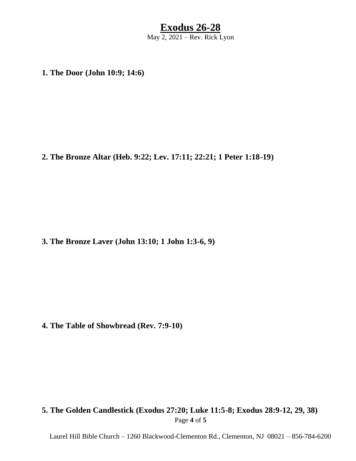### **Exodus 26-28** May 2, 2021 – Rev. Rick Lyon

**1. The Door (John 10:9; 14:6)**

**2. The Bronze Altar (Heb. 9:22; Lev. 17:11; 22:21; 1 Peter 1:18-19)** 

**3. The Bronze Laver (John 13:10; 1 John 1:3-6, 9)**

**4. The Table of Showbread (Rev. 7:9-10)**

### Page **4** of **5 5. The Golden Candlestick (Exodus 27:20; Luke 11:5-8; Exodus 28:9-12, 29, 38)**

Laurel Hill Bible Church – 1260 Blackwood-Clementon Rd., Clementon, NJ 08021 – 856-784-6200